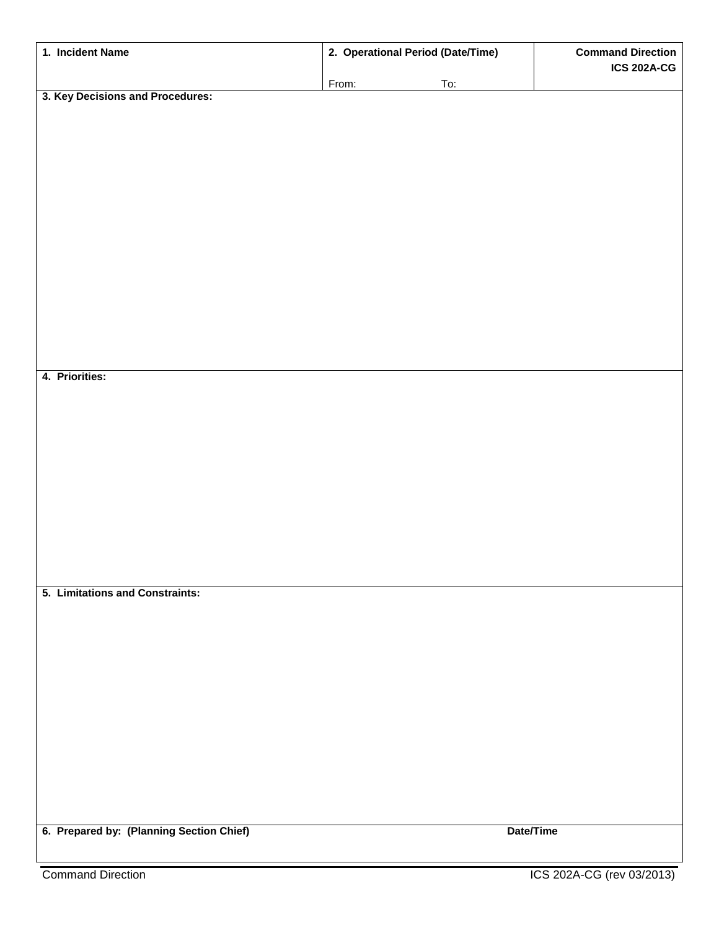| 1. Incident Name                         | 2. Operational Period (Date/Time) |           | <b>Command Direction</b> |
|------------------------------------------|-----------------------------------|-----------|--------------------------|
|                                          | From:                             | To:       | <b>ICS 202A-CG</b>       |
| 3. Key Decisions and Procedures:         |                                   |           |                          |
|                                          |                                   |           |                          |
|                                          |                                   |           |                          |
|                                          |                                   |           |                          |
|                                          |                                   |           |                          |
|                                          |                                   |           |                          |
|                                          |                                   |           |                          |
|                                          |                                   |           |                          |
|                                          |                                   |           |                          |
|                                          |                                   |           |                          |
|                                          |                                   |           |                          |
|                                          |                                   |           |                          |
|                                          |                                   |           |                          |
| 4. Priorities:                           |                                   |           |                          |
|                                          |                                   |           |                          |
|                                          |                                   |           |                          |
|                                          |                                   |           |                          |
|                                          |                                   |           |                          |
|                                          |                                   |           |                          |
|                                          |                                   |           |                          |
|                                          |                                   |           |                          |
|                                          |                                   |           |                          |
|                                          |                                   |           |                          |
| 5. Limitations and Constraints:          |                                   |           |                          |
|                                          |                                   |           |                          |
|                                          |                                   |           |                          |
|                                          |                                   |           |                          |
|                                          |                                   |           |                          |
|                                          |                                   |           |                          |
|                                          |                                   |           |                          |
|                                          |                                   |           |                          |
|                                          |                                   |           |                          |
|                                          |                                   |           |                          |
|                                          |                                   |           |                          |
| 6. Prepared by: (Planning Section Chief) |                                   | Date/Time |                          |
|                                          |                                   |           |                          |